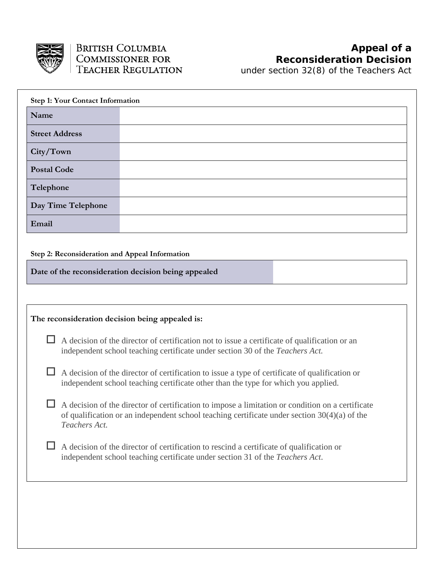

under section 32(8) of the *Teachers Act*

| <b>Step 1: Your Contact Information</b>                                                                                                                                                                             |                                                     |  |
|---------------------------------------------------------------------------------------------------------------------------------------------------------------------------------------------------------------------|-----------------------------------------------------|--|
| Name                                                                                                                                                                                                                |                                                     |  |
| <b>Street Address</b>                                                                                                                                                                                               |                                                     |  |
| City/Town                                                                                                                                                                                                           |                                                     |  |
| <b>Postal Code</b>                                                                                                                                                                                                  |                                                     |  |
| Telephone                                                                                                                                                                                                           |                                                     |  |
| Day Time Telephone                                                                                                                                                                                                  |                                                     |  |
| Email                                                                                                                                                                                                               |                                                     |  |
|                                                                                                                                                                                                                     |                                                     |  |
| Step 2: Reconsideration and Appeal Information                                                                                                                                                                      |                                                     |  |
|                                                                                                                                                                                                                     | Date of the reconsideration decision being appealed |  |
|                                                                                                                                                                                                                     |                                                     |  |
| The reconsideration decision being appealed is:                                                                                                                                                                     |                                                     |  |
| A decision of the director of certification not to issue a certificate of qualification or an<br>independent school teaching certificate under section 30 of the Teachers Act.                                      |                                                     |  |
| A decision of the director of certification to issue a type of certificate of qualification or<br>independent school teaching certificate other than the type for which you applied.                                |                                                     |  |
| A decision of the director of certification to impose a limitation or condition on a certificate<br>of qualification or an independent school teaching certificate under section $30(4)(a)$ of the<br>Teachers Act. |                                                     |  |
| A decision of the director of certification to rescind a certificate of qualification or<br>independent school teaching certificate under section 31 of the Teachers Act.                                           |                                                     |  |
|                                                                                                                                                                                                                     |                                                     |  |
|                                                                                                                                                                                                                     |                                                     |  |